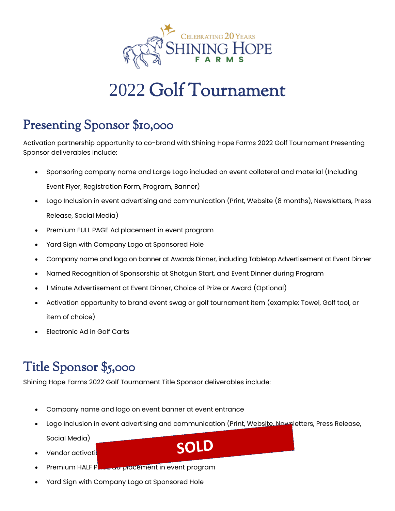

# 2022 Golf Tournament

# Presenting Sponsor \$10,000

Activation partnership opportunity to co-brand with Shining Hope Farms 2022 Golf Tournament Presenting Sponsor deliverables include:

- Sponsoring company name and Large Logo included on event collateral and material (Including Event Flyer, Registration Form, Program, Banner)
- Logo Inclusion in event advertising and communication (Print, Website (8 months), Newsletters, Press Release, Social Media)
- Premium FULL PAGE Ad placement in event program
- Yard Sign with Company Logo at Sponsored Hole
- Company name and logo on banner at Awards Dinner, including Tabletop Advertisement at Event Dinner
- Named Recognition of Sponsorship at Shotgun Start, and Event Dinner during Program
- 1 Minute Advertisement at Event Dinner, Choice of Prize or Award (Optional)
- Activation opportunity to brand event swag or golf tournament item (example: Towel, Golf tool, or item of choice)
- Electronic Ad in Golf Carts

# Title Sponsor \$5,000

Shining Hope Farms 2022 Golf Tournament Title Sponsor deliverables include:

- Company name and logo on event banner at event entrance
- Logo Inclusion in event advertising and communication (Print, Website, Newsletters, Press Release,

Social Media)

- Vendor activation
- Premium HALF Pause and placement in event program
- Yard Sign with Company Logo at Sponsored Hole

SOLD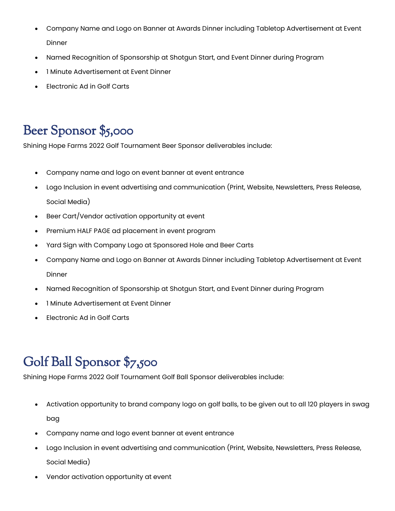- Company Name and Logo on Banner at Awards Dinner including Tabletop Advertisement at Event Dinner
- Named Recognition of Sponsorship at Shotgun Start, and Event Dinner during Program
- 1 Minute Advertisement at Event Dinner
- Electronic Ad in Golf Carts

### Beer Sponsor \$5,000

Shining Hope Farms 2022 Golf Tournament Beer Sponsor deliverables include:

- Company name and logo on event banner at event entrance
- Logo Inclusion in event advertising and communication (Print, Website, Newsletters, Press Release, Social Media)
- Beer Cart/Vendor activation opportunity at event
- Premium HALF PAGE ad placement in event program
- Yard Sign with Company Logo at Sponsored Hole and Beer Carts
- Company Name and Logo on Banner at Awards Dinner including Tabletop Advertisement at Event **Dinner**
- Named Recognition of Sponsorship at Shotgun Start, and Event Dinner during Program
- 1 Minute Advertisement at Event Dinner
- Electronic Ad in Golf Carts

# Golf Ball Sponsor \$7,500

Shining Hope Farms 2022 Golf Tournament Golf Ball Sponsor deliverables include:

- Activation opportunity to brand company logo on golf balls, to be given out to all 120 players in swag bag
- Company name and logo event banner at event entrance
- Logo Inclusion in event advertising and communication (Print, Website, Newsletters, Press Release, Social Media)
- Vendor activation opportunity at event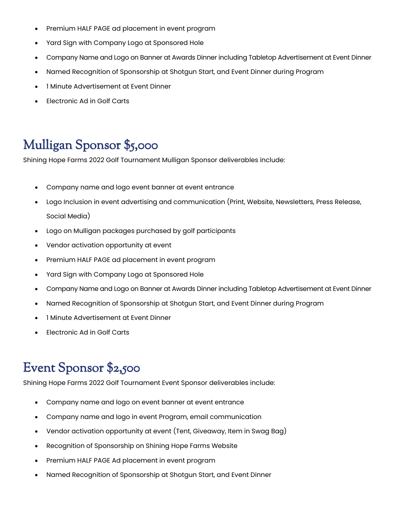- Premium HALF PAGE ad placement in event program
- Yard Sign with Company Logo at Sponsored Hole
- Company Name and Logo on Banner at Awards Dinner including Tabletop Advertisement at Event Dinner
- Named Recognition of Sponsorship at Shotgun Start, and Event Dinner during Program
- 1 Minute Advertisement at Event Dinner
- Electronic Ad in Golf Carts

# Mulligan Sponsor \$5,000

Shining Hope Farms 2022 Golf Tournament Mulligan Sponsor deliverables include:

- Company name and logo event banner at event entrance
- Logo Inclusion in event advertising and communication (Print, Website, Newsletters, Press Release, Social Media)
- Logo on Mulligan packages purchased by golf participants
- Vendor activation opportunity at event
- Premium HALF PAGE ad placement in event program
- Yard Sign with Company Logo at Sponsored Hole
- Company Name and Logo on Banner at Awards Dinner including Tabletop Advertisement at Event Dinner
- Named Recognition of Sponsorship at Shotgun Start, and Event Dinner during Program
- 1 Minute Advertisement at Event Dinner
- Electronic Ad in Golf Carts

#### Event Sponsor \$2,500

Shining Hope Farms 2022 Golf Tournament Event Sponsor deliverables include:

- Company name and logo on event banner at event entrance
- Company name and logo in event Program, email communication
- Vendor activation opportunity at event (Tent, Giveaway, Item in Swag Bag)
- Recognition of Sponsorship on Shining Hope Farms Website
- Premium HALF PAGE Ad placement in event program
- Named Recognition of Sponsorship at Shotgun Start, and Event Dinner